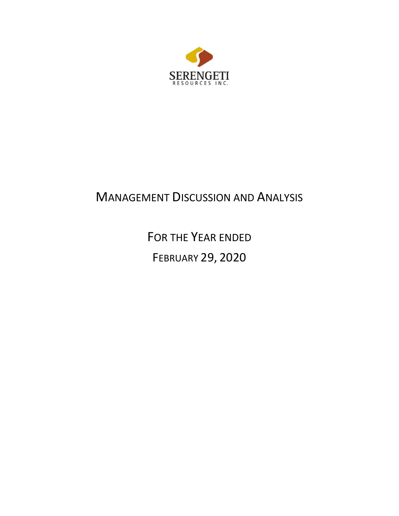

# MANAGEMENT DISCUSSION AND ANALYSIS

FOR THE YEAR ENDED FEBRUARY 29, 2020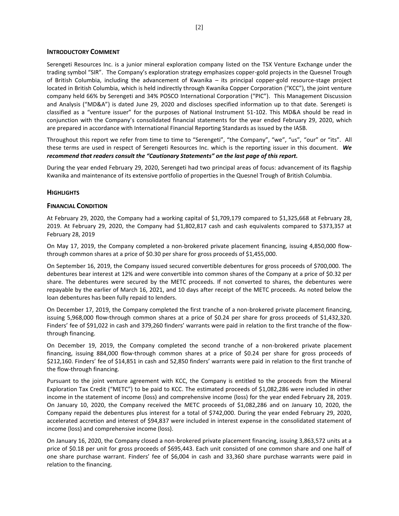## **INTRODUCTORY COMMENT**

Serengeti Resources Inc. is a junior mineral exploration company listed on the TSX Venture Exchange under the trading symbol "SIR". The Company's exploration strategy emphasizes copper-gold projects in the Quesnel Trough of British Columbia, including the advancement of Kwanika – its principal copper-gold resource-stage project located in British Columbia, which is held indirectly through Kwanika Copper Corporation ("KCC"), the joint venture company held 66% by Serengeti and 34% POSCO International Corporation ("PIC"). This Management Discussion and Analysis ("MD&A") is dated June 29, 2020 and discloses specified information up to that date. Serengeti is classified as a "venture issuer" for the purposes of National Instrument 51-102. This MD&A should be read in conjunction with the Company's consolidated financial statements for the year ended February 29, 2020, which are prepared in accordance with International Financial Reporting Standards as issued by the IASB.

Throughout this report we refer from time to time to "Serengeti", "the Company", "we", "us", "our" or "its". All these terms are used in respect of Serengeti Resources Inc. which is the reporting issuer in this document. *We recommend that readers consult the "Cautionary Statements" on the last page of this report.*

During the year ended February 29, 2020, Serengeti had two principal areas of focus: advancement of its flagship Kwanika and maintenance of its extensive portfolio of properties in the Quesnel Trough of British Columbia.

# **HIGHLIGHTS**

# **FINANCIAL CONDITION**

At February 29, 2020, the Company had a working capital of \$1,709,179 compared to \$1,325,668 at February 28, 2019. At February 29, 2020, the Company had \$1,802,817 cash and cash equivalents compared to \$373,357 at February 28, 2019

On May 17, 2019, the Company completed a non-brokered private placement financing, issuing 4,850,000 flowthrough common shares at a price of \$0.30 per share for gross proceeds of \$1,455,000.

On September 16, 2019, the Company issued secured convertible debentures for gross proceeds of \$700,000. The debentures bear interest at 12% and were convertible into common shares of the Company at a price of \$0.32 per share. The debentures were secured by the METC proceeds. If not converted to shares, the debentures were repayable by the earlier of March 16, 2021, and 10 days after receipt of the METC proceeds. As noted below the loan debentures has been fully repaid to lenders.

On December 17, 2019, the Company completed the first tranche of a non-brokered private placement financing, issuing 5,968,000 flow-through common shares at a price of \$0.24 per share for gross proceeds of \$1,432,320. Finders' fee of \$91,022 in cash and 379,260 finders' warrants were paid in relation to the first tranche of the flowthrough financing.

On December 19, 2019, the Company completed the second tranche of a non-brokered private placement financing, issuing 884,000 flow-through common shares at a price of \$0.24 per share for gross proceeds of \$212,160. Finders' fee of \$14,851 in cash and 52,850 finders' warrants were paid in relation to the first tranche of the flow-through financing.

Pursuant to the joint venture agreement with KCC, the Company is entitled to the proceeds from the Mineral Exploration Tax Credit ("METC") to be paid to KCC. The estimated proceeds of \$1,082,286 were included in other income in the statement of income (loss) and comprehensive income (loss) for the year ended February 28, 2019. On January 10, 2020, the Company received the METC proceeds of \$1,082,286 and on January 10, 2020, the Company repaid the debentures plus interest for a total of \$742,000. During the year ended February 29, 2020, accelerated accretion and interest of \$94,837 were included in interest expense in the consolidated statement of income (loss) and comprehensive income (loss).

On January 16, 2020, the Company closed a non-brokered private placement financing, issuing 3,863,572 units at a price of \$0.18 per unit for gross proceeds of \$695,443. Each unit consisted of one common share and one half of one share purchase warrant. Finders' fee of \$6,004 in cash and 33,360 share purchase warrants were paid in relation to the financing.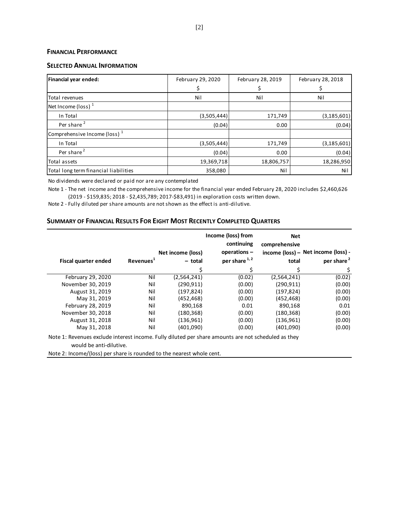# **FINANCIAL PERFORMANCE**

# **SELECTED ANNUAL INFORMATION**

| Financial year ended:                    | February 29, 2020 | February 28, 2019 | February 28, 2018 |  |
|------------------------------------------|-------------------|-------------------|-------------------|--|
|                                          |                   |                   |                   |  |
| Total revenues                           | Nil               | Nil               | Nil               |  |
| Net Income (loss) $1$                    |                   |                   |                   |  |
| In Total                                 | (3,505,444)       | 171,749           | (3, 185, 601)     |  |
| Per share <sup>2</sup>                   | (0.04)            | 0.00              | (0.04)            |  |
| Comprehensive Income (loss) <sup>1</sup> |                   |                   |                   |  |
| In Total                                 | (3,505,444)       | 171,749           | (3, 185, 601)     |  |
| Per share <sup>2</sup>                   | (0.04)            | 0.00              | (0.04)            |  |
| Total assets                             | 19,369,718        | 18,806,757        | 18,286,950        |  |
| Total long term financial liabilities    | 358,080           | Nil               | Nil               |  |

No dividends were declared or paid nor are any contemplated

Note 1 - The net income and the comprehensive income for the financial year ended February 28, 2020 includes \$2,460,626 (2019 - \$159,835; 2018 - \$2,435,789; 2017-\$83,491) in exploration costs written down.

Note 2 - Fully diluted per share amounts are not shown as the effect is anti-dilutive.

# **SUMMARY OF FINANCIAL RESULTS FOR EIGHT MOST RECENTLY COMPLETED QUARTERS**

|                                                      |     | Net income (loss) | Income (loss) from<br>continuing<br>operations - | <b>Net</b><br>comprehensive | income (loss) - Net income (loss) - |
|------------------------------------------------------|-----|-------------------|--------------------------------------------------|-----------------------------|-------------------------------------|
| Revenues <sup>1</sup><br><b>Fiscal quarter ended</b> |     | - total           | per share <sup>1,2</sup>                         | total                       | per share <sup>2</sup>              |
|                                                      |     |                   |                                                  |                             | \$,                                 |
| February 29, 2020                                    | Nil | (2,564,241)       | (0.02)                                           | (2,564,241)                 | (0.02)                              |
| November 30, 2019                                    | Nil | (290.911)         | (0.00)                                           | (290.911)                   | (0.00)                              |
| August 31, 2019                                      | Nil | (197, 824)        | (0.00)                                           | (197, 824)                  | (0.00)                              |
| May 31, 2019                                         | Nil | (452, 468)        | (0.00)                                           | (452, 468)                  | (0.00)                              |
| February 28, 2019                                    | Nil | 890.168           | 0.01                                             | 890.168                     | 0.01                                |
| November 30, 2018                                    | Nil | (180, 368)        | (0.00)                                           | (180, 368)                  | (0.00)                              |
| August 31, 2018                                      | Nil | (136, 961)        | (0.00)                                           | (136, 961)                  | (0.00)                              |
| May 31, 2018                                         | Nil | (401,090)         | (0.00)                                           | (401,090)                   | (0.00)                              |

Note 1: Revenues exclude interest income. Fully diluted per share amounts are not scheduled as they would be anti-dilutive.

Note 2: Income/(loss) per share is rounded to the nearest whole cent.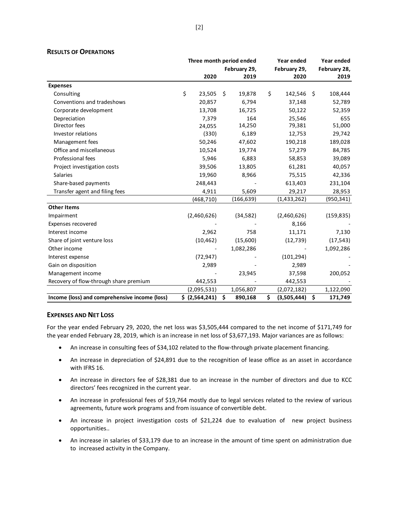|                                               |                | Three month period ended | Year ended        | Year ended      |
|-----------------------------------------------|----------------|--------------------------|-------------------|-----------------|
|                                               |                | February 29,             | February 29,      | February 28,    |
|                                               | 2020           | 2019                     | 2020              | 2019            |
| <b>Expenses</b>                               |                |                          |                   |                 |
| Consulting                                    | \$<br>23,505   | Ŝ.<br>19,878             | \$<br>142,546     | 108,444<br>- \$ |
| Conventions and tradeshows                    | 20,857         | 6,794                    | 37,148            | 52,789          |
| Corporate development                         | 13,708         | 16,725                   | 50,122            | 52,359          |
| Depreciation                                  | 7,379          | 164                      | 25,546            | 655             |
| Director fees                                 | 24,055         | 14,250                   | 79,381            | 51,000          |
| Investor relations                            | (330)          | 6,189                    | 12,753            | 29,742          |
| Management fees                               | 50,246         | 47,602                   | 190,218           | 189,028         |
| Office and miscellaneous                      | 10,524         | 19,774                   | 57,279            | 84,785          |
| Professional fees                             | 5,946          | 6,883                    | 58,853            | 39,089          |
| Project investigation costs                   | 39,506         | 13,805                   | 61,281            | 40,057          |
| <b>Salaries</b>                               | 19,960         | 8,966                    | 75,515            | 42,336          |
| Share-based payments                          | 248,443        |                          | 613,403           | 231,104         |
| Transfer agent and filing fees                | 4,911          | 5,609                    | 29,217            | 28,953          |
|                                               | (468, 710)     | (166, 639)               | (1,433,262)       | (950, 341)      |
| <b>Other Items</b>                            |                |                          |                   |                 |
| Impairment                                    | (2,460,626)    | (34, 582)                | (2,460,626)       | (159, 835)      |
| Expenses recovered                            |                |                          | 8,166             |                 |
| Interest income                               | 2,962          | 758                      | 11,171            | 7,130           |
| Share of joint venture loss                   | (10, 462)      | (15,600)                 | (12, 739)         | (17, 543)       |
| Other income                                  |                | 1,082,286                |                   | 1,092,286       |
| Interest expense                              | (72, 947)      |                          | (101, 294)        |                 |
| Gain on disposition                           | 2,989          |                          | 2,989             |                 |
| Management income                             |                | 23,945                   | 37,598            | 200,052         |
| Recovery of flow-through share premium        | 442,553        |                          | 442,553           |                 |
|                                               | (2,095,531)    | 1,056,807                | (2,072,182)       | 1,122,090       |
| Income (loss) and comprehensive income (loss) | \$ (2,564,241) | \$<br>890,168            | \$<br>(3,505,444) | \$<br>171,749   |

# **RESULTS OF OPERATIONS**

# **EXPENSES AND NET LOSS**

For the year ended February 29, 2020, the net loss was \$3,505,444 compared to the net income of \$171,749 for the year ended February 28, 2019, which is an increase in net loss of \$3,677,193. Major variances are as follows:

- An increase in consulting fees of \$34,102 related to the flow-through private placement financing.
- An increase in depreciation of \$24,891 due to the recognition of lease office as an asset in accordance with IFRS 16.
- An increase in directors fee of \$28,381 due to an increase in the number of directors and due to KCC directors' fees recognized in the current year.
- An increase in professional fees of \$19,764 mostly due to legal services related to the review of various agreements, future work programs and from issuance of convertible debt.
- An increase in project investigation costs of \$21,224 due to evaluation of new project business opportunities..
- An increase in salaries of \$33,179 due to an increase in the amount of time spent on administration due to increased activity in the Company.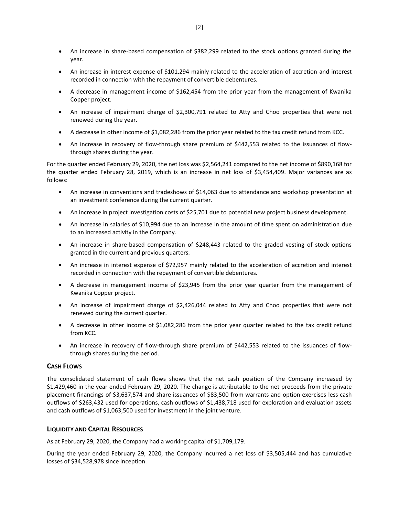- An increase in share-based compensation of \$382,299 related to the stock options granted during the year.
- An increase in interest expense of \$101,294 mainly related to the acceleration of accretion and interest recorded in connection with the repayment of convertible debentures.
- A decrease in management income of \$162,454 from the prior year from the management of Kwanika Copper project.
- An increase of impairment charge of \$2,300,791 related to Atty and Choo properties that were not renewed during the year.
- A decrease in other income of \$1,082,286 from the prior year related to the tax credit refund from KCC.
- An increase in recovery of flow-through share premium of \$442,553 related to the issuances of flowthrough shares during the year.

For the quarter ended February 29, 2020, the net loss was \$2,564,241 compared to the net income of \$890,168 for the quarter ended February 28, 2019, which is an increase in net loss of \$3,454,409. Major variances are as follows:

- An increase in conventions and tradeshows of \$14,063 due to attendance and workshop presentation at an investment conference during the current quarter.
- An increase in project investigation costs of \$25,701 due to potential new project business development.
- An increase in salaries of \$10,994 due to an increase in the amount of time spent on administration due to an increased activity in the Company.
- An increase in share-based compensation of \$248,443 related to the graded vesting of stock options granted in the current and previous quarters.
- An increase in interest expense of \$72,957 mainly related to the acceleration of accretion and interest recorded in connection with the repayment of convertible debentures.
- A decrease in management income of \$23,945 from the prior year quarter from the management of Kwanika Copper project.
- An increase of impairment charge of \$2,426,044 related to Atty and Choo properties that were not renewed during the current quarter.
- A decrease in other income of \$1,082,286 from the prior year quarter related to the tax credit refund from KCC.
- An increase in recovery of flow-through share premium of \$442,553 related to the issuances of flowthrough shares during the period.

# **CASH FLOWS**

The consolidated statement of cash flows shows that the net cash position of the Company increased by \$1,429,460 in the year ended February 29, 2020. The change is attributable to the net proceeds from the private placement financings of \$3,637,574 and share issuances of \$83,500 from warrants and option exercises less cash outflows of \$263,432 used for operations, cash outflows of \$1,438,718 used for exploration and evaluation assets and cash outflows of \$1,063,500 used for investment in the joint venture.

# **LIQUIDITY AND CAPITAL RESOURCES**

As at February 29, 2020, the Company had a working capital of \$1,709,179.

During the year ended February 29, 2020, the Company incurred a net loss of \$3,505,444 and has cumulative losses of \$34,528,978 since inception.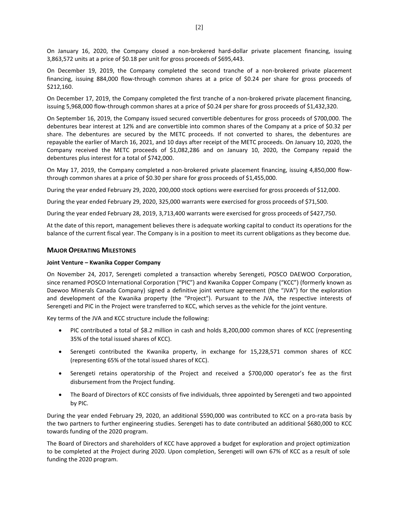On January 16, 2020, the Company closed a non-brokered hard-dollar private placement financing, issuing 3,863,572 units at a price of \$0.18 per unit for gross proceeds of \$695,443.

On December 19, 2019, the Company completed the second tranche of a non-brokered private placement financing, issuing 884,000 flow-through common shares at a price of \$0.24 per share for gross proceeds of \$212,160.

On December 17, 2019, the Company completed the first tranche of a non-brokered private placement financing, issuing 5,968,000 flow-through common shares at a price of \$0.24 per share for gross proceeds of \$1,432,320.

On September 16, 2019, the Company issued secured convertible debentures for gross proceeds of \$700,000. The debentures bear interest at 12% and are convertible into common shares of the Company at a price of \$0.32 per share. The debentures are secured by the METC proceeds. If not converted to shares, the debentures are repayable the earlier of March 16, 2021, and 10 days after receipt of the METC proceeds. On January 10, 2020, the Company received the METC proceeds of \$1,082,286 and on January 10, 2020, the Company repaid the debentures plus interest for a total of \$742,000.

On May 17, 2019, the Company completed a non-brokered private placement financing, issuing 4,850,000 flowthrough common shares at a price of \$0.30 per share for gross proceeds of \$1,455,000.

During the year ended February 29, 2020, 200,000 stock options were exercised for gross proceeds of \$12,000.

During the year ended February 29, 2020, 325,000 warrants were exercised for gross proceeds of \$71,500.

During the year ended February 28, 2019, 3,713,400 warrants were exercised for gross proceeds of \$427,750.

At the date of this report, management believes there is adequate working capital to conduct its operations for the balance of the current fiscal year. The Company is in a position to meet its current obligations as they become due.

# **MAJOR OPERATING MILESTONES**

## **Joint Venture – Kwanika Copper Company**

On November 24, 2017, Serengeti completed a transaction whereby Serengeti, POSCO DAEWOO Corporation, since renamed POSCO International Corporation ("PIC") and Kwanika Copper Company ("KCC") (formerly known as Daewoo Minerals Canada Company) signed a definitive joint venture agreement (the "JVA") for the exploration and development of the Kwanika property (the "Project"). Pursuant to the JVA, the respective interests of Serengeti and PIC in the Project were transferred to KCC, which serves as the vehicle for the joint venture.

Key terms of the JVA and KCC structure include the following:

- PIC contributed a total of \$8.2 million in cash and holds 8,200,000 common shares of KCC (representing 35% of the total issued shares of KCC).
- Serengeti contributed the Kwanika property, in exchange for 15,228,571 common shares of KCC (representing 65% of the total issued shares of KCC).
- Serengeti retains operatorship of the Project and received a \$700,000 operator's fee as the first disbursement from the Project funding.
- The Board of Directors of KCC consists of five individuals, three appointed by Serengeti and two appointed by PIC.

During the year ended February 29, 2020, an additional \$590,000 was contributed to KCC on a pro-rata basis by the two partners to further engineering studies. Serengeti has to date contributed an additional \$680,000 to KCC towards funding of the 2020 program.

The Board of Directors and shareholders of KCC have approved a budget for exploration and project optimization to be completed at the Project during 2020. Upon completion, Serengeti will own 67% of KCC as a result of sole funding the 2020 program.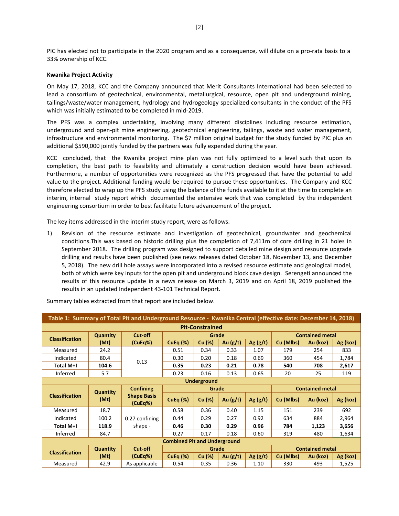PIC has elected not to participate in the 2020 program and as a consequence, will dilute on a pro-rata basis to a 33% ownership of KCC.

#### **Kwanika Project Activity**

On May 17, 2018, KCC and the Company announced that Merit Consultants International had been selected to lead a consortium of geotechnical, environmental, metallurgical, resource, open pit and underground mining, tailings/waste/water management, hydrology and hydrogeology specialized consultants in the conduct of the PFS which was initially estimated to be completed in mid-2019.

The PFS was a complex undertaking, involving many different disciplines including resource estimation, underground and open-pit mine engineering, geotechnical engineering, tailings, waste and water management, infrastructure and environmental monitoring. The \$7 million original budget for the study funded by PIC plus an additional \$590,000 jointly funded by the partners was fully expended during the year.

KCC concluded, that the Kwanika project mine plan was not fully optimized to a level such that upon its completion, the best path to feasibility and ultimately a construction decision would have been achieved. Furthermore, a number of opportunities were recognized as the PFS progressed that have the potential to add value to the project. Additional funding would be required to pursue these opportunities. The Company and KCC therefore elected to wrap up the PFS study using the balance of the funds available to it at the time to complete an interim, internal study report which documented the extensive work that was completed by the independent engineering consortium in order to best facilitate future advancement of the project.

The key items addressed in the interim study report, were as follows.

1) Revision of the resource estimate and investigation of geotechnical, groundwater and geochemical conditions.This was based on historic drilling plus the completion of 7,411m of core drilling in 21 holes in September 2018. The drilling program was designed to support detailed mine design and resource upgrade drilling and results have been published (see news releases dated October 18, November 13, and December 5, 2018). The new drill hole assays were incorporated into a revised resource estimate and geological model, both of which were key inputs for the open pit and underground block cave design. Serengeti announced the results of this resource update in a news release on March 3, 2019 and on April 18, 2019 published the results in an updated Independent 43-101 Technical Report.

| Table 1: Summary of Total Pit and Underground Resource - Kwanika Central (effective date: December 14, 2018) |                         |                               |                                     |                        |            |            |                        |                        |          |
|--------------------------------------------------------------------------------------------------------------|-------------------------|-------------------------------|-------------------------------------|------------------------|------------|------------|------------------------|------------------------|----------|
|                                                                                                              |                         |                               |                                     | <b>Pit-Constrained</b> |            |            |                        |                        |          |
| <b>Classification</b>                                                                                        | <b>Quantity</b>         | Cut-off                       |                                     | Grade                  |            |            |                        | <b>Contained metal</b> |          |
|                                                                                                              | (Mt)                    | (CuEq%)                       | CuEq $(\%)$                         | Cu (%)                 | Au $(g/t)$ | Ag $(g/t)$ | Cu (Mlbs)              | Au (koz)               | Ag (koz) |
| Measured                                                                                                     | 24.2                    |                               | 0.51                                | 0.34                   | 0.33       | 1.07       | 179                    | 254                    | 833      |
| Indicated                                                                                                    | 80.4                    |                               | 0.30                                | 0.20                   | 0.18       | 0.69       | 360                    | 454                    | 1,784    |
| Total M+I                                                                                                    | 104.6                   | 0.13                          | 0.35                                | 0.23                   | 0.21       | 0.78       | 540                    | 708                    | 2,617    |
| Inferred                                                                                                     | 5.7                     |                               | 0.23                                | 0.16                   | 0.13       | 0.65       | 20                     | 25                     | 119      |
| <b>Underground</b>                                                                                           |                         |                               |                                     |                        |            |            |                        |                        |          |
|                                                                                                              | <b>Quantity</b><br>(Mt) | <b>Confining</b>              | Grade                               |                        |            |            | <b>Contained metal</b> |                        |          |
|                                                                                                              |                         |                               |                                     |                        |            |            |                        |                        |          |
| <b>Classification</b>                                                                                        |                         | <b>Shape Basis</b><br>(CuEq%) | CuEq $(\%)$                         | Cu (%)                 | Au $(g/t)$ | Ag(g/t)    | Cu (Mlbs)              | Au (koz)               | Ag (koz) |
| Measured                                                                                                     | 18.7                    |                               | 0.58                                | 0.36                   | 0.40       | 1.15       | 151                    | 239                    | 692      |
| Indicated                                                                                                    | 100.2                   | 0.27 confining                | 0.44                                | 0.29                   | 0.27       | 0.92       | 634                    | 884                    | 2,964    |
| Total M+I                                                                                                    | 118.9                   | shape -                       | 0.46                                | 0.30                   | 0.29       | 0.96       | 784                    | 1,123                  | 3,656    |
| Inferred                                                                                                     | 84.7                    |                               | 0.27                                | 0.17                   | 0.18       | 0.60       | 319                    | 480                    | 1,634    |
|                                                                                                              |                         |                               | <b>Combined Pit and Underground</b> |                        |            |            |                        |                        |          |
|                                                                                                              | <b>Quantity</b>         | Cut-off                       |                                     | Grade                  |            |            |                        | <b>Contained metal</b> |          |
| <b>Classification</b>                                                                                        | (Mt)                    | (CuEq%)                       | CuEq $(%)$                          | Cu (%)                 | Au $(g/t)$ | Ag $(g/t)$ | Cu (Mlbs)              | Au (koz)               | Ag (koz) |

Summary tables extracted from that report are included below.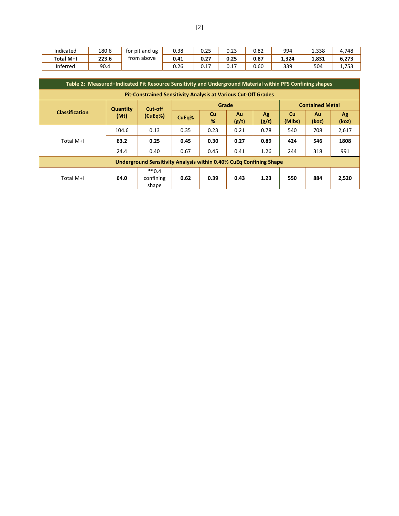| Indicated        | 180.6 | for pit and ug | 0.38 | 0.25          | 0.23 | 0.82 | 994   | 1,338 | 4,748 |
|------------------|-------|----------------|------|---------------|------|------|-------|-------|-------|
| <b>Total M+I</b> | 223.6 | trom above     | 0.41 | 0. 27<br>u.z, | 0.25 | 0.87 | 1,324 | 1.831 | 6,273 |
| Inferred         | 90.4  |                | 0.26 | ∪.⊥/          | 0.17 | 0.60 | 339   | 504   | 1.753 |

|                                                                       | Table 2: Measured+Indicated Pit Resource Sensitivity and Underground Material within PFS Confining shapes |                                                                           |       |         |             |             |                     |                        |             |
|-----------------------------------------------------------------------|-----------------------------------------------------------------------------------------------------------|---------------------------------------------------------------------------|-------|---------|-------------|-------------|---------------------|------------------------|-------------|
| <b>Pit-Constrained Sensitivity Analysis at Various Cut-Off Grades</b> |                                                                                                           |                                                                           |       |         |             |             |                     |                        |             |
|                                                                       | <b>Quantity</b><br>(Mt)                                                                                   | Cut-off                                                                   |       | Grade   |             |             |                     | <b>Contained Metal</b> |             |
| <b>Classification</b>                                                 |                                                                                                           | (CuEq%)                                                                   | CuEq% | Cu<br>% | Au<br>(g/t) | Ag<br>(g/t) | <b>Cu</b><br>(Mlbs) | Au<br>(koz)            | Ag<br>(koz) |
|                                                                       | 104.6                                                                                                     | 0.13                                                                      | 0.35  | 0.23    | 0.21        | 0.78        | 540                 | 708                    | 2,617       |
| Total M+I                                                             | 63.2                                                                                                      | 0.25                                                                      | 0.45  | 0.30    | 0.27        | 0.89        | 424                 | 546                    | 1808        |
|                                                                       | 24.4                                                                                                      | 0.40                                                                      | 0.67  | 0.45    | 0.41        | 1.26        | 244                 | 318                    | 991         |
|                                                                       |                                                                                                           | <b>Underground Sensitivity Analysis within 0.40% CuEq Confining Shape</b> |       |         |             |             |                     |                        |             |
| Total M+I                                                             | 64.0                                                                                                      | $**0.4$<br>confining<br>shape                                             | 0.62  | 0.39    | 0.43        | 1.23        | 550                 | 884                    | 2,520       |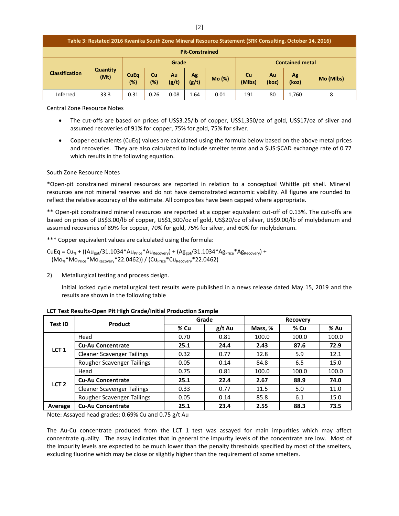|  | Table 3: Restated 2016 Kwanika South Zone Mineral Resource Statement (SRK Consulting, October 14, 2016) |                         |                       |                  |             |             |        |                     |                        |             |           |
|--|---------------------------------------------------------------------------------------------------------|-------------------------|-----------------------|------------------|-------------|-------------|--------|---------------------|------------------------|-------------|-----------|
|  | <b>Pit-Constrained</b>                                                                                  |                         |                       |                  |             |             |        |                     |                        |             |           |
|  |                                                                                                         |                         |                       | Grade            |             |             |        |                     | <b>Contained metal</b> |             |           |
|  | <b>Classification</b>                                                                                   | <b>Quantity</b><br>(Mt) | <b>CuEq</b><br>$(\%)$ | <b>Cu</b><br>(%) | Au<br>(g/t) | Ag<br>(g/t) | Mo (%) | <b>Cu</b><br>(Mlbs) | Au<br>(koz)            | Ag<br>(koz) | Mo (Mlbs) |
|  | Inferred                                                                                                | 33.3                    | 0.31                  | 0.26             | 0.08        | 1.64        | 0.01   | 191                 | 80                     | 1.760       | 8         |

Central Zone Resource Notes

- The cut-offs are based on prices of US\$3.25/lb of copper, US\$1,350/oz of gold, US\$17/oz of silver and assumed recoveries of 91% for copper, 75% for gold, 75% for silver.
- Copper equivalents (CuEq) values are calculated using the formula below based on the above metal prices and recoveries. They are also calculated to include smelter terms and a \$US:\$CAD exchange rate of 0.77 which results in the following equation.

#### South Zone Resource Notes

\*Open-pit constrained mineral resources are reported in relation to a conceptual Whittle pit shell. Mineral resources are not mineral reserves and do not have demonstrated economic viability. All figures are rounded to reflect the relative accuracy of the estimate. All composites have been capped where appropriate.

\*\* Open-pit constrained mineral resources are reported at a copper equivalent cut-off of 0.13%. The cut-offs are based on prices of US\$3.00/lb of copper, US\$1,300/oz of gold, US\$20/oz of silver, US\$9.00/lb of molybdenum and assumed recoveries of 89% for copper, 70% for gold, 75% for silver, and 60% for molybdenum.

\*\*\* Copper equivalent values are calculated using the formula:

 $CuEq = Cu_{%} + ((Au_{gpt}/31.1034*Au_{Price}*Au_{Recovery}) + (Ag_{gpt}/31.1034*Ag_{Price}*Ag_{Recovery}) +$  $(Mo<sub>%</sub>*Mo<sub>Price</sub>*Mo<sub>Recovery</sub>*22.0462)$  /  $(Cu<sub>Price</sub>*Cu<sub>Recovery</sub>*22.0462)$ 

2) Metallurgical testing and process design.

Initial locked cycle metallurgical test results were published in a news release dated May 15, 2019 and the results are shown in the following table

| Test ID          | Product                           | Grade |          | <b>Recovery</b> |       |       |  |
|------------------|-----------------------------------|-------|----------|-----------------|-------|-------|--|
|                  |                                   | % Cu  | $g/t$ Au | Mass, %         | % Cu  | % Au  |  |
|                  | Head                              | 0.70  | 0.81     | 100.0           | 100.0 | 100.0 |  |
|                  | <b>Cu-Au Concentrate</b>          | 25.1  | 24.4     | 2.43            | 87.6  | 72.9  |  |
| LCT <sub>1</sub> | <b>Cleaner Scavenger Tailings</b> | 0.32  | 0.77     | 12.8            | 5.9   | 12.1  |  |
|                  | Rougher Scavenger Tailings        | 0.05  | 0.14     | 84.8            | 6.5   | 15.0  |  |
|                  | Head                              | 0.75  | 0.81     | 100.0           | 100.0 | 100.0 |  |
| LCT <sub>2</sub> | <b>Cu-Au Concentrate</b>          | 25.1  | 22.4     | 2.67            | 88.9  | 74.0  |  |
|                  | <b>Cleaner Scavenger Tailings</b> | 0.33  | 0.77     | 11.5            | 5.0   | 11.0  |  |
|                  | Rougher Scavenger Tailings        | 0.05  | 0.14     | 85.8            | 6.1   | 15.0  |  |
| Average          | <b>Cu-Au Concentrate</b>          | 25.1  | 23.4     | 2.55            | 88.3  | 73.5  |  |

**LCT Test Results-Open Pit High Grade/Initial Production Sample**

Note: Assayed head grades: 0.69% Cu and 0.75 g/t Au

The Au-Cu concentrate produced from the LCT 1 test was assayed for main impurities which may affect concentrate quality. The assay indicates that in general the impurity levels of the concentrate are low. Most of the impurity levels are expected to be much lower than the penalty thresholds specified by most of the smelters, excluding fluorine which may be close or slightly higher than the requirement of some smelters.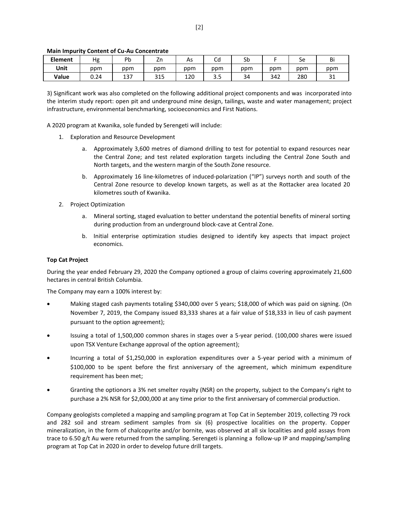## **Main Impurity Content of Cu-Au Concentrate**

| <b>Element</b> | Hg   | Dŀ<br>ิม    | 1r<br>ᅬ           | As  | ∽<br>∪u | Sb  |     | Sе  | Bi            |
|----------------|------|-------------|-------------------|-----|---------|-----|-----|-----|---------------|
| Unit           | ppm  | ppm         | ppm               | ppm | ppm     | ppm | ppm | ppm | ppm           |
| Value          | 0.24 | 127<br>1J / | <b>DAF</b><br>כדכ | 120 |         | 34  | 342 | 280 | $\sim$<br>⊥ ب |

3) Significant work was also completed on the following additional project components and was incorporated into the interim study report: open pit and underground mine design, tailings, waste and water management; project infrastructure, environmental benchmarking, socioeconomics and First Nations.

A 2020 program at Kwanika, sole funded by Serengeti will include:

- 1. Exploration and Resource Development
	- a. Approximately 3,600 metres of diamond drilling to test for potential to expand resources near the Central Zone; and test related exploration targets including the Central Zone South and North targets, and the western margin of the South Zone resource.
	- b. Approximately 16 line-kilometres of induced-polarization ("IP") surveys north and south of the Central Zone resource to develop known targets, as well as at the Rottacker area located 20 kilometres south of Kwanika.
- 2. Project Optimization
	- a. Mineral sorting, staged evaluation to better understand the potential benefits of mineral sorting during production from an underground block-cave at Central Zone.
	- b. Initial enterprise optimization studies designed to identify key aspects that impact project economics.

## **Top Cat Project**

During the year ended February 29, 2020 the Company optioned a group of claims covering approximately 21,600 hectares in central British Columbia.

The Company may earn a 100% interest by:

- Making staged cash payments totaling \$340,000 over 5 years; \$18,000 of which was paid on signing. (On November 7, 2019, the Company issued 83,333 shares at a fair value of \$18,333 in lieu of cash payment pursuant to the option agreement);
- Issuing a total of 1,500,000 common shares in stages over a 5-year period. (100,000 shares were issued upon TSX Venture Exchange approval of the option agreement);
- Incurring a total of \$1,250,000 in exploration expenditures over a 5-year period with a minimum of \$100,000 to be spent before the first anniversary of the agreement, which minimum expenditure requirement has been met;
- Granting the optionors a 3% net smelter royalty (NSR) on the property, subject to the Company's right to purchase a 2% NSR for \$2,000,000 at any time prior to the first anniversary of commercial production.

Company geologists completed a mapping and sampling program at Top Cat in September 2019, collecting 79 rock and 282 soil and stream sediment samples from six (6) prospective localities on the property. Copper mineralization, in the form of chalcopyrite and/or bornite, was observed at all six localities and gold assays from trace to 6.50 g/t Au were returned from the sampling. Serengeti is planning a follow-up IP and mapping/sampling program at Top Cat in 2020 in order to develop future drill targets.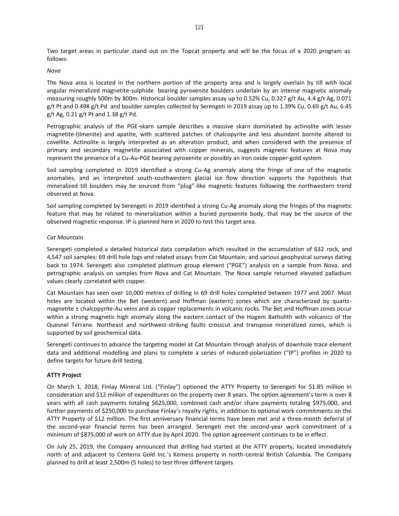Two target areas in particular stand out on the Topcat property and will be the focus of a 2020 program as follows:

#### *Nova*

The Nova area is located in the northern portion of the property area and is largely overlain by till with local angular mineralized magnetite-sulphide bearing pyroxenite boulders underlain by an intense magnetic anomaly measuring roughly 500m by 800m. Historical boulder samples assay up to 0.52% Cu, 0.327 g/t Au, 4.4 g/t Ag, 0.071 g/t Pt and 0.498 g/t Pd and boulder samples collected by Serengeti in 2019 assay up to 1.39% Cu, 0.69 g/t Au, 6.45 g/t Ag, 0.21 g/t Pt and 1.38 g/t Pd.

Petrographic analysis of the PGE-skarn sample describes a massive skarn dominated by actinolite with lesser magnetite-(ilmenite) and apatite, with scattered patches of chalcopyrite and less abundant bornite altered to covellite. Actinolite is largely interpreted as an alteration product, and when considered with the presence of primary and secondary magnetite associated with copper minerals, suggests magnetic features at Nova may represent the presence of a Cu-Au-PGE bearing pyroxenite or possibly an iron oxide copper-gold system.

Soil sampling completed in 2019 identified a strong Cu-Ag anomaly along the fringe of one of the magnetic anomalies, and an interpreted south-southwestern glacial ice flow direction supports the hypothesis that mineralized till boulders may be sourced from "plug"-like magnetic features following the northwestern trend observed at Nova.

Soil sampling completed by Serengeti in 2019 identified a strong Cu-Ag anomaly along the fringes of the magnetic feature that may be related to mineralization within a buried pyroxenite body, that may be the source of the observed magnetic response. IP is planned here in 2020 to test this target area.

#### *Cat Mountain*

Serengeti completed a detailed historical data compilation which resulted in the accumulation of 632 rock, and 4,547 soil samples; 69 drill hole logs and related assays from Cat Mountain; and various geophysical surveys dating back to 1974. Serengeti also completed platinum group element ("PGE") analysis on a sample from Nova, and petrographic analysis on samples from Nova and Cat Mountain. The Nova sample returned elevated palladium values clearly correlated with copper.

Cat Mountain has seen over 10,000 metres of drilling in 69 drill holes completed between 1977 and 2007. Most holes are located within the Bet (western) and Hoffman (eastern) zones which are characterized by quartzmagnetite ± chalcopyrite-Au veins and as copper replacements in volcanic rocks. The Bet and Hoffman zones occur within a strong magnetic high anomaly along the eastern contact of the Hogem Batholith with volcanics of the Quesnel Terrane. Northeast and northwest-striking faults crosscut and transpose mineralized zones, which is supported by soil geochemical data.

Serengeti continues to advance the targeting model at Cat Mountain through analysis of downhole trace element data and additional modelling and plans to complete a series of induced-polarization ("IP") profiles in 2020 to define targets for future drill testing.

## **ATTY Project**

On March 1, 2018, Finlay Mineral Ltd. ("Finlay") optioned the ATTY Property to Serengeti for \$1.85 million in consideration and \$12 million of expenditures on the property over 8 years. The option agreement's term is over 8 years with all cash payments totaling \$625,000, combined cash and/or share payments totaling \$975,000, and further payments of \$250,000 to purchase Finlay's royalty rights, in addition to optional work commitments on the ATTY Property of \$12 million. The first anniversary financial terms have been met and a three-month deferral of the second-year financial terms has been arranged. Serengeti met the second-year work commitment of a minimum of \$875,000 of work on ATTY due by April 2020. The option agreement continues to be in effect.

On July 25, 2019, the Company announced that drilling had started at the ATTY property, located immediately north of and adjacent to Centerra Gold Inc.'s Kemess property in north-central British Columbia. The Company planned to drill at least 2,500m (5 holes) to test three different targets.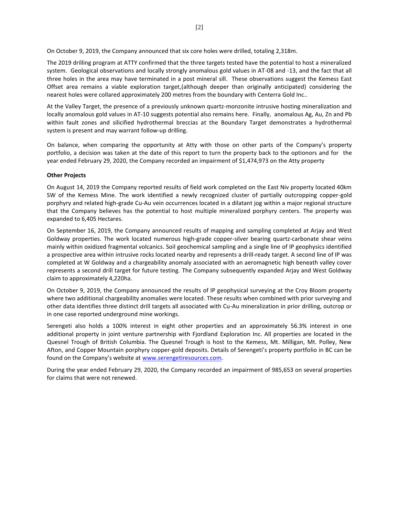On October 9, 2019, the Company announced that six core holes were drilled, totaling 2,318m.

The 2019 drilling program at ATTY confirmed that the three targets tested have the potential to host a mineralized system. Geological observations and locally strongly anomalous gold values in AT-08 and -13, and the fact that all three holes in the area may have terminated in a post mineral sill. These observations suggest the Kemess East Offset area remains a viable exploration target,(although deeper than originally anticipated) considering the nearest holes were collared approximately 200 metres from the boundary with Centerra Gold Inc..

At the Valley Target, the presence of a previously unknown quartz-monzonite intrusive hosting mineralization and locally anomalous gold values in AT-10 suggests potential also remains here. Finally, anomalous Ag, Au, Zn and Pb within fault zones and silicified hydrothermal breccias at the Boundary Target demonstrates a hydrothermal system is present and may warrant follow-up drilling.

On balance, when comparing the opportunity at Atty with those on other parts of the Company's property portfolio, a decision was taken at the date of this report to turn the property back to the optionors and for the year ended February 29, 2020, the Company recorded an impairment of \$1,474,973 on the Atty property

## **Other Projects**

On August 14, 2019 the Company reported results of field work completed on the East Niv property located 40km SW of the Kemess Mine. The work identified a newly recognized cluster of partially outcropping copper-gold porphyry and related high-grade Cu-Au vein occurrences located in a dilatant jog within a major regional structure that the Company believes has the potential to host multiple mineralized porphyry centers. The property was expanded to 6,405 Hectares.

On September 16, 2019, the Company announced results of mapping and sampling completed at Arjay and West Goldway properties. The work located numerous high-grade copper-silver bearing quartz-carbonate shear veins mainly within oxidized fragmental volcanics. Soil geochemical sampling and a single line of IP geophysics identified a prospective area within intrusive rocks located nearby and represents a drill-ready target. A second line of IP was completed at W Goldway and a chargeability anomaly associated with an aeromagnetic high beneath valley cover represents a second drill target for future testing. The Company subsequently expanded Arjay and West Goldway claim to approximately 4,220ha.

On October 9, 2019, the Company announced the results of IP geophysical surveying at the Croy Bloom property where two additional chargeability anomalies were located. These results when combined with prior surveying and other data identifies three distinct drill targets all associated with Cu-Au mineralization in prior drilling, outcrop or in one case reported underground mine workings.

Serengeti also holds a 100% interest in eight other properties and an approximately 56.3% interest in one additional property in joint venture partnership with Fjordland Exploration Inc. All properties are located in the Quesnel Trough of British Columbia. The Quesnel Trough is host to the Kemess, Mt. Milligan, Mt. Polley, New Afton, and Copper Mountain porphyry copper-gold deposits. Details of Serengeti's property portfolio in BC can be found on the Company's website at [www.serengetiresources.com.](about:blank)

During the year ended February 29, 2020, the Company recorded an impairment of 985,653 on several properties for claims that were not renewed.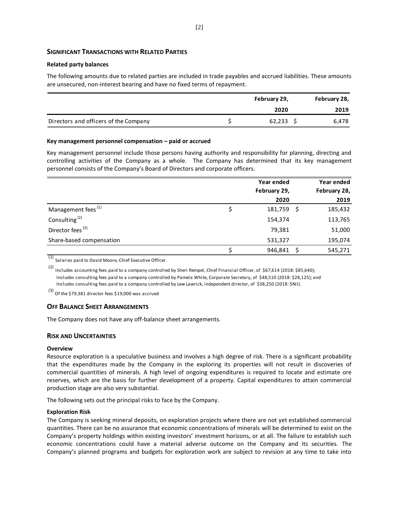# **SIGNIFICANT TRANSACTIONS WITH RELATED PARTIES**

#### **Related party balances**

The following amounts due to related parties are included in trade payables and accrued liabilities. These amounts are unsecured, non-interest bearing and have no fixed terms of repayment.

|                                       | February 29, |        |  | February 28, |
|---------------------------------------|--------------|--------|--|--------------|
|                                       |              | 2020   |  | 2019         |
| Directors and officers of the Company |              | 62,233 |  | 6,478        |

#### **Key management personnel compensation – paid or accrued**

Key management personnel include those persons having authority and responsibility for planning, directing and controlling activities of the Company as a whole. The Company has determined that its key management personnel consists of the Company's Board of Directors and corporate officers.

|                                | Year ended   | Year ended   |
|--------------------------------|--------------|--------------|
|                                | February 29, | February 28, |
|                                | 2020         | 2019         |
| Management fees <sup>(1)</sup> | 181,759      | 185,432      |
| Consulting <sup>(2)</sup>      | 154,374      | 113,765      |
| Director fees <sup>(3)</sup>   | 79,381       | 51,000       |
| Share-based compensation       | 531,327      | 195,074      |
|                                | 946,841      | 545,271      |

(1) Salaries paid to David Moore, Chief Executive Officer.

(2) Includes accounting fees paid to a company controlled by Sheri Rempel, Chief Financial Officer, of \$67,614 (2018: \$85,640); Includes consulting fees paid to a company controlled by Pamela White, Corporate Secretary, of \$48,510 (2018: \$28,125); and Includes consulting fees paid to a company controlled by Lew Lawrick, independent director, of \$38,250 (2018: \$Nil).

(3) Of the \$79,381 director fees \$19,000 was accrued

## **OFF BALANCE SHEET ARRANGEMENTS**

The Company does not have any off-balance sheet arrangements.

## **RISK AND UNCERTAINTIES**

#### **Overview**

Resource exploration is a speculative business and involves a high degree of risk. There is a significant probability that the expenditures made by the Company in the exploring its properties will not result in discoveries of commercial quantities of minerals. A high level of ongoing expenditures is required to locate and estimate ore reserves, which are the basis for further development of a property. Capital expenditures to attain commercial production stage are also very substantial.

The following sets out the principal risks to face by the Company.

#### **Exploration Risk**

The Company is seeking mineral deposits, on exploration projects where there are not yet established commercial quantities. There can be no assurance that economic concentrations of minerals will be determined to exist on the Company's property holdings within existing investors' investment horizons, or at all. The failure to establish such economic concentrations could have a material adverse outcome on the Company and its securities. The Company's planned programs and budgets for exploration work are subject to revision at any time to take into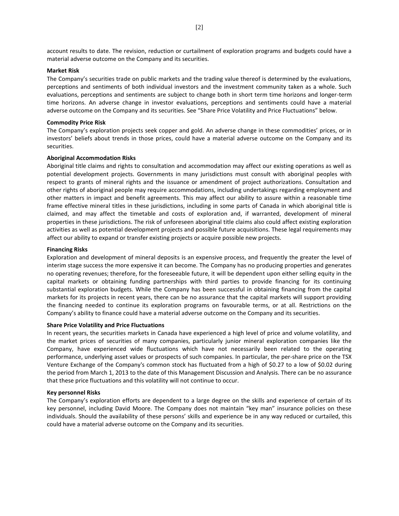account results to date. The revision, reduction or curtailment of exploration programs and budgets could have a material adverse outcome on the Company and its securities.

#### **Market Risk**

The Company's securities trade on public markets and the trading value thereof is determined by the evaluations, perceptions and sentiments of both individual investors and the investment community taken as a whole. Such evaluations, perceptions and sentiments are subject to change both in short term time horizons and longer-term time horizons. An adverse change in investor evaluations, perceptions and sentiments could have a material adverse outcome on the Company and its securities. See "Share Price Volatility and Price Fluctuations" below.

#### **Commodity Price Risk**

The Company's exploration projects seek copper and gold. An adverse change in these commodities' prices, or in investors' beliefs about trends in those prices, could have a material adverse outcome on the Company and its securities.

#### **Aboriginal Accommodation Risks**

Aboriginal title claims and rights to consultation and accommodation may affect our existing operations as well as potential development projects. Governments in many jurisdictions must consult with aboriginal peoples with respect to grants of mineral rights and the issuance or amendment of project authorizations. Consultation and other rights of aboriginal people may require accommodations, including undertakings regarding employment and other matters in impact and benefit agreements. This may affect our ability to assure within a reasonable time frame effective mineral titles in these jurisdictions, including in some parts of Canada in which aboriginal title is claimed, and may affect the timetable and costs of exploration and, if warranted, development of mineral properties in these jurisdictions. The risk of unforeseen aboriginal title claims also could affect existing exploration activities as well as potential development projects and possible future acquisitions. These legal requirements may affect our ability to expand or transfer existing projects or acquire possible new projects.

#### **Financing Risks**

Exploration and development of mineral deposits is an expensive process, and frequently the greater the level of interim stage success the more expensive it can become. The Company has no producing properties and generates no operating revenues; therefore, for the foreseeable future, it will be dependent upon either selling equity in the capital markets or obtaining funding partnerships with third parties to provide financing for its continuing substantial exploration budgets. While the Company has been successful in obtaining financing from the capital markets for its projects in recent years, there can be no assurance that the capital markets will support providing the financing needed to continue its exploration programs on favourable terms, or at all. Restrictions on the Company's ability to finance could have a material adverse outcome on the Company and its securities.

#### **Share Price Volatility and Price Fluctuations**

In recent years, the securities markets in Canada have experienced a high level of price and volume volatility, and the market prices of securities of many companies, particularly junior mineral exploration companies like the Company, have experienced wide fluctuations which have not necessarily been related to the operating performance, underlying asset values or prospects of such companies. In particular, the per-share price on the TSX Venture Exchange of the Company's common stock has fluctuated from a high of \$0.27 to a low of \$0.02 during the period from March 1, 2013 to the date of this Management Discussion and Analysis. There can be no assurance that these price fluctuations and this volatility will not continue to occur.

#### **Key personnel Risks**

The Company's exploration efforts are dependent to a large degree on the skills and experience of certain of its key personnel, including David Moore. The Company does not maintain "key man" insurance policies on these individuals. Should the availability of these persons' skills and experience be in any way reduced or curtailed, this could have a material adverse outcome on the Company and its securities.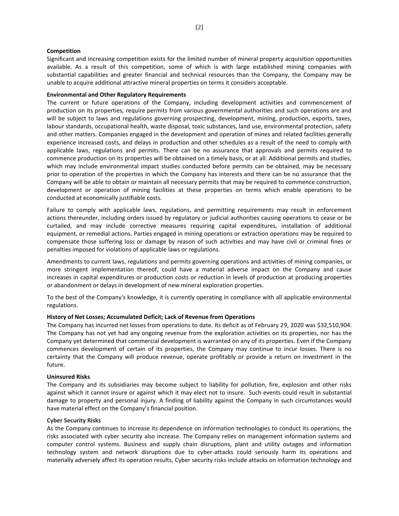## **Competition**

Significant and increasing competition exists for the limited number of mineral property acquisition opportunities available. As a result of this competition, some of which is with large established mining companies with substantial capabilities and greater financial and technical resources than the Company, the Company may be unable to acquire additional attractive mineral properties on terms it considers acceptable.

#### **Environmental and Other Regulatory Requirements**

The current or future operations of the Company, including development activities and commencement of production on its properties, require permits from various governmental authorities and such operations are and will be subject to laws and regulations governing prospecting, development, mining, production, exports, taxes, labour standards, occupational health, waste disposal, toxic substances, land use, environmental protection, safety and other matters. Companies engaged in the development and operation of mines and related facilities generally experience increased costs, and delays in production and other schedules as a result of the need to comply with applicable laws, regulations and permits. There can be no assurance that approvals and permits required to commence production on its properties will be obtained on a timely basis, or at all. Additional permits and studies, which may include environmental impact studies conducted before permits can be obtained, may be necessary prior to operation of the properties in which the Company has interests and there can be no assurance that the Company will be able to obtain or maintain all necessary permits that may be required to commence construction, development or operation of mining facilities at these properties on terms which enable operations to be conducted at economically justifiable costs.

Failure to comply with applicable laws, regulations, and permitting requirements may result in enforcement actions thereunder, including orders issued by regulatory or judicial authorities causing operations to cease or be curtailed, and may include corrective measures requiring capital expenditures, installation of additional equipment, or remedial actions. Parties engaged in mining operations or extraction operations may be required to compensate those suffering loss or damage by reason of such activities and may have civil or criminal fines or penalties imposed for violations of applicable laws or regulations.

Amendments to current laws, regulations and permits governing operations and activities of mining companies, or more stringent implementation thereof, could have a material adverse impact on the Company and cause increases in capital expenditures or production costs or reduction in levels of production at producing properties or abandonment or delays in development of new mineral exploration properties.

To the best of the Company's knowledge, it is currently operating in compliance with all applicable environmental regulations.

#### **History of Net Losses; Accumulated Deficit; Lack of Revenue from Operations**

The Company has incurred net losses from operations to date. Its deficit as of February 29, 2020 was \$32,510,904. The Company has not yet had any ongoing revenue from the exploration activities on its properties, nor has the Company yet determined that commercial development is warranted on any of its properties. Even if the Company commences development of certain of its properties, the Company may continue to incur losses. There is no certainty that the Company will produce revenue, operate profitably or provide a return on investment in the future.

#### **Uninsured Risks**

The Company and its subsidiaries may become subject to liability for pollution, fire, explosion and other risks against which it cannot insure or against which it may elect not to insure. Such events could result in substantial damage to property and personal injury. A finding of liability against the Company in such circumstances would have material effect on the Company's financial position.

#### **Cyber Security Risks**

As the Company continues to increase its dependence on information technologies to conduct its operations, the risks associated with cyber security also increase. The Company relies on management information systems and computer control systems. Business and supply chain disruptions, plant and utility outages and information technology system and network disruptions due to cyber-attacks could seriously harm its operations and materially adversely affect its operation results, Cyber security risks include attacks on information technology and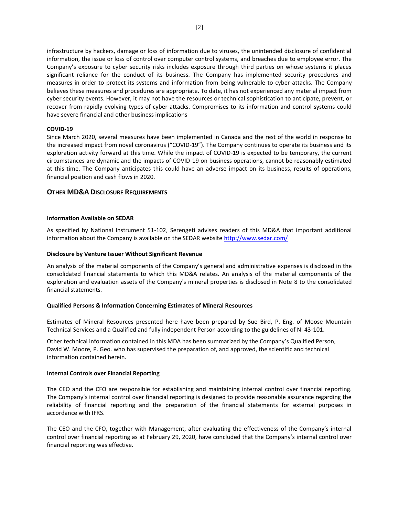infrastructure by hackers, damage or loss of information due to viruses, the unintended disclosure of confidential information, the issue or loss of control over computer control systems, and breaches due to employee error. The Company's exposure to cyber security risks includes exposure through third parties on whose systems it places significant reliance for the conduct of its business. The Company has implemented security procedures and measures in order to protect its systems and information from being vulnerable to cyber-attacks. The Company believes these measures and procedures are appropriate. To date, it has not experienced any material impact from cyber security events. However, it may not have the resources or technical sophistication to anticipate, prevent, or recover from rapidly evolving types of cyber-attacks. Compromises to its information and control systems could have severe financial and other business implications

## **COVID-19**

Since March 2020, several measures have been implemented in Canada and the rest of the world in response to the increased impact from novel coronavirus ("COVID-19"). The Company continues to operate its business and its exploration activity forward at this time. While the impact of COVID-19 is expected to be temporary, the current circumstances are dynamic and the impacts of COVID-19 on business operations, cannot be reasonably estimated at this time. The Company anticipates this could have an adverse impact on its business, results of operations, financial position and cash flows in 2020.

# **OTHER MD&A DISCLOSURE REQUIREMENTS**

# **Information Available on SEDAR**

As specified by National Instrument 51-102, Serengeti advises readers of this MD&A that important additional information about the Company is available on the SEDAR website [http://www.sedar.com/](about:blank)

## **Disclosure by Venture Issuer Without Significant Revenue**

An analysis of the material components of the Company's general and administrative expenses is disclosed in the consolidated financial statements to which this MD&A relates. An analysis of the material components of the exploration and evaluation assets of the Company's mineral properties is disclosed in Note 8 to the consolidated financial statements.

## **Qualified Persons & Information Concerning Estimates of Mineral Resources**

Estimates of Mineral Resources presented here have been prepared by Sue Bird, P. Eng. of Moose Mountain Technical Services and a Qualified and fully independent Person according to the guidelines of NI 43-101.

Other technical information contained in this MDA has been summarized by the Company's Qualified Person, David W. Moore, P. Geo. who has supervised the preparation of, and approved, the scientific and technical information contained herein.

## **Internal Controls over Financial Reporting**

The CEO and the CFO are responsible for establishing and maintaining internal control over financial reporting. The Company's internal control over financial reporting is designed to provide reasonable assurance regarding the reliability of financial reporting and the preparation of the financial statements for external purposes in accordance with IFRS.

The CEO and the CFO, together with Management, after evaluating the effectiveness of the Company's internal control over financial reporting as at February 29, 2020, have concluded that the Company's internal control over financial reporting was effective.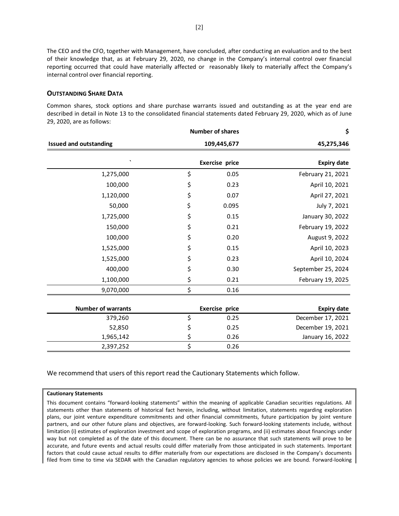The CEO and the CFO, together with Management, have concluded, after conducting an evaluation and to the best of their knowledge that, as at February 29, 2020, no change in the Company's internal control over financial reporting occurred that could have materially affected or reasonably likely to materially affect the Company's internal control over financial reporting.

# **OUTSTANDING SHARE DATA**

Common shares, stock options and share purchase warrants issued and outstanding as at the year end are described in detail in Note 13 to the consolidated financial statements dated February 29, 2020, which as of June 29, 2020, are as follows:

|                               | <b>Number of shares</b> | \$                 |
|-------------------------------|-------------------------|--------------------|
| <b>Issued and outstanding</b> | 109,445,677             | 45,275,346         |
| $\cdot$                       | <b>Exercise price</b>   | <b>Expiry date</b> |
| 1,275,000                     | \$<br>0.05              | February 21, 2021  |
| 100,000                       | \$<br>0.23              | April 10, 2021     |
| 1,120,000                     | \$<br>0.07              | April 27, 2021     |
| 50,000                        | \$<br>0.095             | July 7, 2021       |
| 1,725,000                     | \$<br>0.15              | January 30, 2022   |
| 150,000                       | \$<br>0.21              | February 19, 2022  |
| 100,000                       | \$<br>0.20              | August 9, 2022     |
| 1,525,000                     | \$<br>0.15              | April 10, 2023     |
| 1,525,000                     | \$<br>0.23              | April 10, 2024     |
| 400,000                       | \$<br>0.30              | September 25, 2024 |
| 1,100,000                     | \$<br>0.21              | February 19, 2025  |
| 9,070,000                     | \$<br>0.16              |                    |
|                               |                         |                    |
| <b>Number of warrants</b>     | <b>Exercise price</b>   | <b>Expiry date</b> |
| 379,260                       | \$<br>0.25              | December 17, 2021  |
| 52,850                        | \$<br>0.25              | December 19, 2021  |
| 1,965,142                     | \$<br>0.26              | January 16, 2022   |
| 2,397,252                     | \$<br>0.26              |                    |

We recommend that users of this report read the Cautionary Statements which follow.

#### **Cautionary Statements**

This document contains "forward-looking statements" within the meaning of applicable Canadian securities regulations. All statements other than statements of historical fact herein, including, without limitation, statements regarding exploration plans, our joint venture expenditure commitments and other financial commitments, future participation by joint venture partners, and our other future plans and objectives, are forward-looking. Such forward-looking statements include, without limitation (i) estimates of exploration investment and scope of exploration programs, and (ii) estimates about financings under way but not completed as of the date of this document. There can be no assurance that such statements will prove to be accurate, and future events and actual results could differ materially from those anticipated in such statements. Important factors that could cause actual results to differ materially from our expectations are disclosed in the Company's documents filed from time to time via SEDAR with the Canadian regulatory agencies to whose policies we are bound. Forward-looking